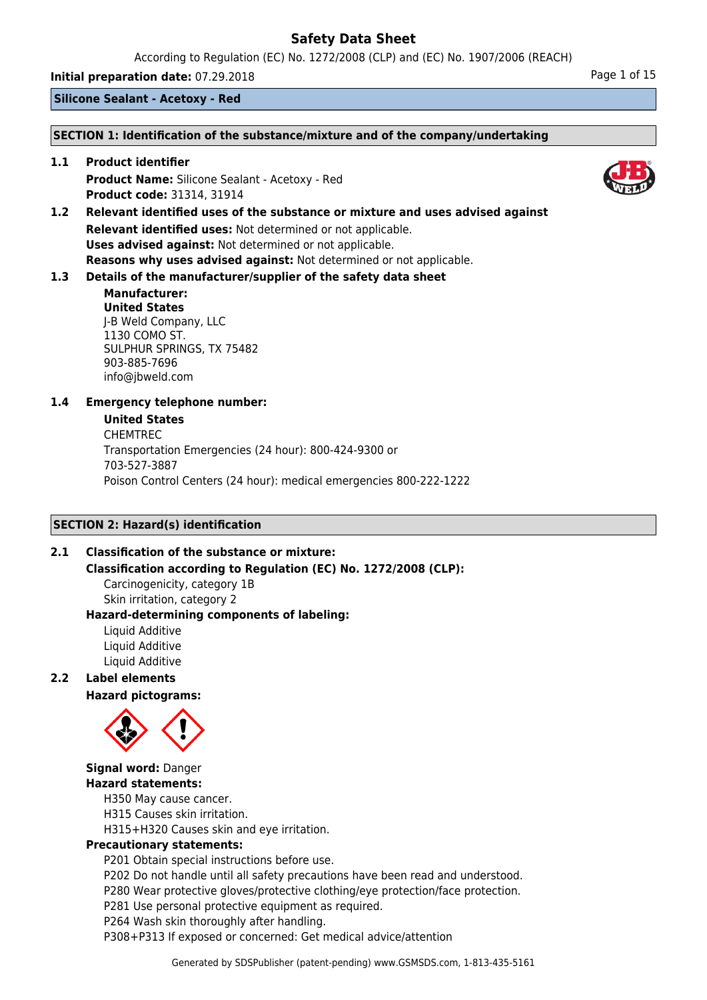According to Regulation (EC) No. 1272/2008 (CLP) and (EC) No. 1907/2006 (REACH)

**Initial preparation date:** 07.29.2018 **Page 1 of 15** 

**Silicone Sealant - Acetoxy - Red**

#### **SECTION 1: Identification of the substance/mixture and of the company/undertaking**

**1.1 Product identifier Product Name:** Silicone Sealant - Acetoxy - Red **Product code:** 31314, 31914

**1.2 Relevant identified uses of the substance or mixture and uses advised against Relevant identified uses:** Not determined or not applicable. **Uses advised against:** Not determined or not applicable. **Reasons why uses advised against:** Not determined or not applicable.

# **1.3 Details of the manufacturer/supplier of the safety data sheet**

## **Manufacturer: United States** J-B Weld Company, LLC 1130 COMO ST. SULPHUR SPRINGS, TX 75482 903-885-7696 info@jbweld.com

# **1.4 Emergency telephone number:**

#### **United States**

CHEMTREC Transportation Emergencies (24 hour): 800-424-9300 or 703-527-3887 Poison Control Centers (24 hour): medical emergencies 800-222-1222

## **SECTION 2: Hazard(s) identification**

## **2.1 Classification of the substance or mixture:**

**Classification according to Regulation (EC) No. 1272/2008 (CLP):** Carcinogenicity, category 1B

Skin irritation, category 2 **Hazard-determining components of labeling:**

Liquid Additive Liquid Additive Liquid Additive

## **2.2 Label elements**

**Hazard pictograms:**



# **Signal word:** Danger **Hazard statements:**

H350 May cause cancer.

H315 Causes skin irritation.

H315+H320 Causes skin and eye irritation.

## **Precautionary statements:**

P201 Obtain special instructions before use.

P202 Do not handle until all safety precautions have been read and understood.

P280 Wear protective gloves/protective clothing/eye protection/face protection.

P281 Use personal protective equipment as required.

P264 Wash skin thoroughly after handling.

P308+P313 If exposed or concerned: Get medical advice/attention

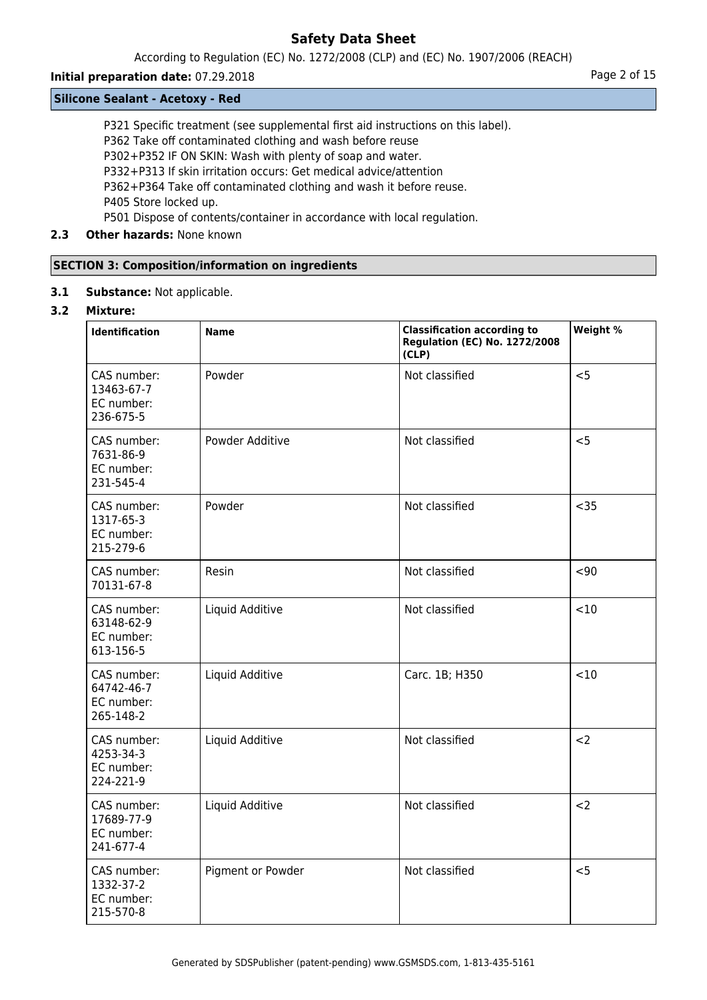According to Regulation (EC) No. 1272/2008 (CLP) and (EC) No. 1907/2006 (REACH)

# **Initial preparation date:** 07.29.2018 **Page 2 of 15**

## **Silicone Sealant - Acetoxy - Red**

P321 Specific treatment (see supplemental first aid instructions on this label).

P362 Take off contaminated clothing and wash before reuse

P302+P352 IF ON SKIN: Wash with plenty of soap and water.

P332+P313 If skin irritation occurs: Get medical advice/attention

P362+P364 Take off contaminated clothing and wash it before reuse.

P405 Store locked up.

P501 Dispose of contents/container in accordance with local regulation.

# **2.3 Other hazards:** None known

# **SECTION 3: Composition/information on ingredients**

**3.1 Substance:** Not applicable.

## **3.2 Mixture:**

| <b>Identification</b>                                | <b>Name</b>       | <b>Classification according to</b><br><b>Regulation (EC) No. 1272/2008</b><br>(CLP) | Weight % |
|------------------------------------------------------|-------------------|-------------------------------------------------------------------------------------|----------|
| CAS number:<br>13463-67-7<br>EC number:<br>236-675-5 | Powder            | Not classified                                                                      | < 5      |
| CAS number:<br>7631-86-9<br>EC number:<br>231-545-4  | Powder Additive   | Not classified                                                                      | < 5      |
| CAS number:<br>1317-65-3<br>EC number:<br>215-279-6  | Powder            | Not classified                                                                      | $35$     |
| CAS number:<br>70131-67-8                            | Resin             | Not classified                                                                      | $90$     |
| CAS number:<br>63148-62-9<br>EC number:<br>613-156-5 | Liquid Additive   | Not classified                                                                      | <10      |
| CAS number:<br>64742-46-7<br>EC number:<br>265-148-2 | Liquid Additive   | Carc. 1B; H350                                                                      | < 10     |
| CAS number:<br>4253-34-3<br>EC number:<br>224-221-9  | Liquid Additive   | Not classified                                                                      | $2$      |
| CAS number:<br>17689-77-9<br>EC number:<br>241-677-4 | Liquid Additive   | Not classified                                                                      | $2$      |
| CAS number:<br>1332-37-2<br>EC number:<br>215-570-8  | Pigment or Powder | Not classified                                                                      | < 5      |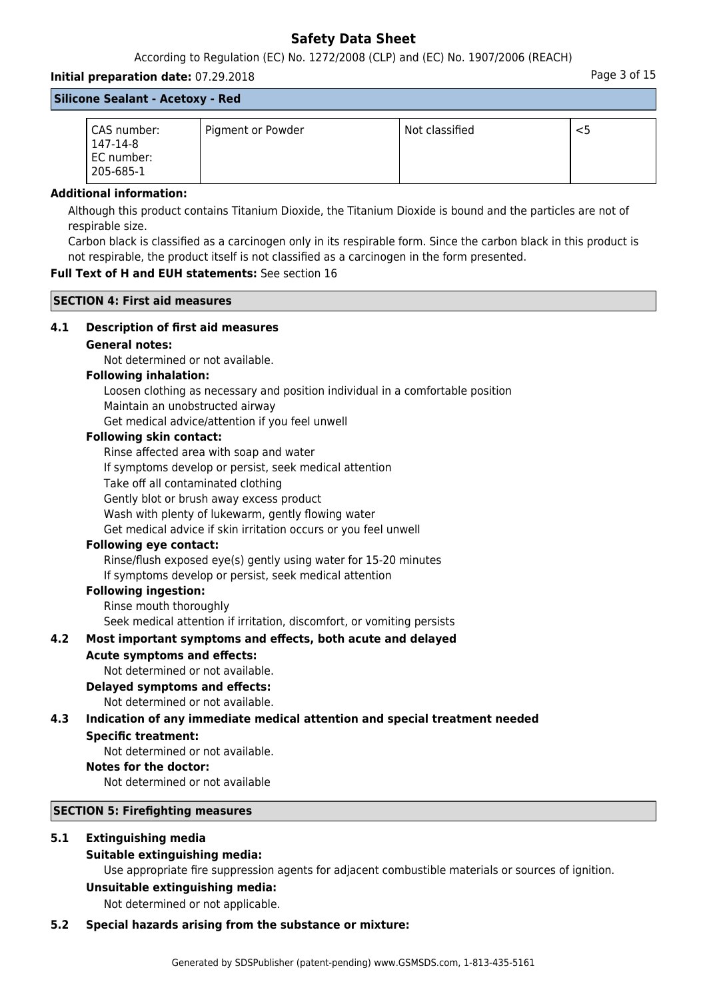According to Regulation (EC) No. 1272/2008 (CLP) and (EC) No. 1907/2006 (REACH)

## **Initial preparation date:** 07.29.2018 **Page 3 of 15** and the page 3 of 15

**Silicone Sealant - Acetoxy - Red**

| CAS number:<br>147-14-8<br>EC number:<br>205-685-1 | Pigment or Powder | Not classified |  |
|----------------------------------------------------|-------------------|----------------|--|

#### **Additional information:**

Although this product contains Titanium Dioxide, the Titanium Dioxide is bound and the particles are not of respirable size.

Carbon black is classified as a carcinogen only in its respirable form. Since the carbon black in this product is not respirable, the product itself is not classified as a carcinogen in the form presented.

## **Full Text of H and EUH statements:** See section 16

#### **SECTION 4: First aid measures**

## **4.1 Description of first aid measures**

## **General notes:**

Not determined or not available.

#### **Following inhalation:**

Loosen clothing as necessary and position individual in a comfortable position Maintain an unobstructed airway

Get medical advice/attention if you feel unwell

## **Following skin contact:**

Rinse affected area with soap and water

If symptoms develop or persist, seek medical attention

Take off all contaminated clothing

Gently blot or brush away excess product

Wash with plenty of lukewarm, gently flowing water

Get medical advice if skin irritation occurs or you feel unwell

## **Following eye contact:**

Rinse/flush exposed eye(s) gently using water for 15-20 minutes If symptoms develop or persist, seek medical attention

#### **Following ingestion:**

Rinse mouth thoroughly

Seek medical attention if irritation, discomfort, or vomiting persists

## **4.2 Most important symptoms and effects, both acute and delayed**

#### **Acute symptoms and effects:**

Not determined or not available.

#### **Delayed symptoms and effects:**

Not determined or not available.

# **4.3 Indication of any immediate medical attention and special treatment needed**

## **Specific treatment:**

Not determined or not available.

#### **Notes for the doctor:**

Not determined or not available

#### **SECTION 5: Firefighting measures**

# **5.1 Extinguishing media**

## **Suitable extinguishing media:**

Use appropriate fire suppression agents for adjacent combustible materials or sources of ignition.

#### **Unsuitable extinguishing media:**

Not determined or not applicable.

#### **5.2 Special hazards arising from the substance or mixture:**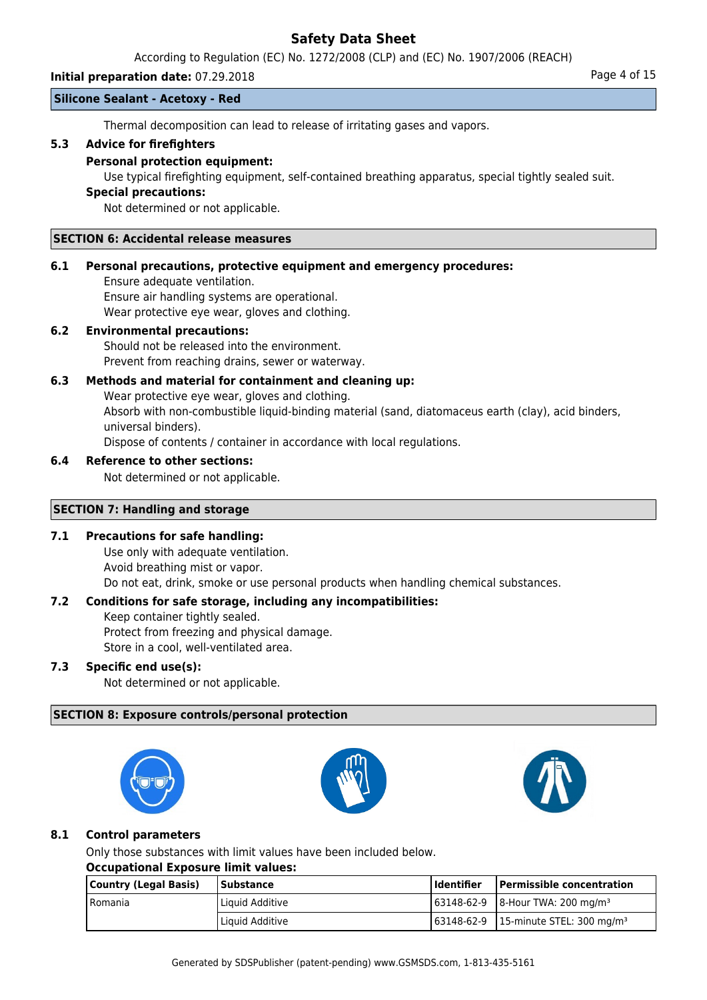According to Regulation (EC) No. 1272/2008 (CLP) and (EC) No. 1907/2006 (REACH)

## **Initial preparation date:** 07.29.2018 **Page 4 of 15**

#### **Silicone Sealant - Acetoxy - Red**

Thermal decomposition can lead to release of irritating gases and vapors.

## **5.3 Advice for firefighters**

#### **Personal protection equipment:**

Use typical firefighting equipment, self-contained breathing apparatus, special tightly sealed suit.

#### **Special precautions:**

Not determined or not applicable.

#### **SECTION 6: Accidental release measures**

#### **6.1 Personal precautions, protective equipment and emergency procedures:**

Ensure adequate ventilation. Ensure air handling systems are operational. Wear protective eye wear, gloves and clothing.

## **6.2 Environmental precautions:**

Should not be released into the environment. Prevent from reaching drains, sewer or waterway.

# **6.3 Methods and material for containment and cleaning up:**

Wear protective eye wear, gloves and clothing. Absorb with non-combustible liquid-binding material (sand, diatomaceus earth (clay), acid binders, universal binders). Dispose of contents / container in accordance with local regulations.

#### **6.4 Reference to other sections:**

Not determined or not applicable.

#### **SECTION 7: Handling and storage**

## **7.1 Precautions for safe handling:**

Use only with adequate ventilation. Avoid breathing mist or vapor. Do not eat, drink, smoke or use personal products when handling chemical substances.

## **7.2 Conditions for safe storage, including any incompatibilities:**

Keep container tightly sealed. Protect from freezing and physical damage.

Store in a cool, well-ventilated area.

## **7.3 Specific end use(s):**

Not determined or not applicable.

## **SECTION 8: Exposure controls/personal protection**







## **8.1 Control parameters**

Only those substances with limit values have been included below.

#### **Occupational Exposure limit values:**

| Country (Legal Basis) | <b>Substance</b> | l Identifier | <b>Permissible concentration</b>                            |
|-----------------------|------------------|--------------|-------------------------------------------------------------|
| l Romania             | Liquid Additive  |              | $\frac{163148-62-9}{8}$   8-Hour TWA: 200 mg/m <sup>3</sup> |
|                       | Liquid Additive  |              | 63148-62-9 15-minute STEL: 300 mg/m <sup>3</sup>            |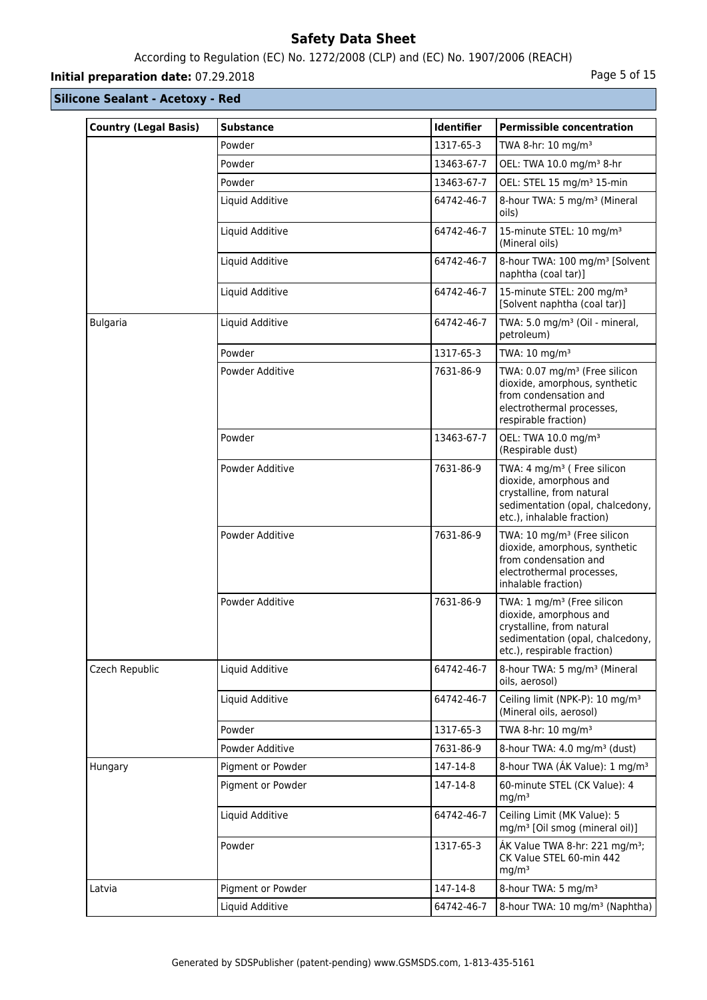# According to Regulation (EC) No. 1272/2008 (CLP) and (EC) No. 1907/2006 (REACH)

# **Initial preparation date:** 07.29.2018 **Page 1 and 2018** Page 5 of 15

| <b>Country (Legal Basis)</b> | <b>Substance</b>  | Identifier | <b>Permissible concentration</b>                                                                                                                                 |
|------------------------------|-------------------|------------|------------------------------------------------------------------------------------------------------------------------------------------------------------------|
|                              | Powder            | 1317-65-3  | TWA 8-hr: 10 mg/m <sup>3</sup>                                                                                                                                   |
|                              | Powder            | 13463-67-7 | OEL: TWA 10.0 mg/m <sup>3</sup> 8-hr                                                                                                                             |
|                              | Powder            | 13463-67-7 | OEL: STEL 15 mg/m <sup>3</sup> 15-min                                                                                                                            |
|                              | Liquid Additive   | 64742-46-7 | 8-hour TWA: 5 mg/m <sup>3</sup> (Mineral<br>oils)                                                                                                                |
|                              | Liquid Additive   | 64742-46-7 | 15-minute STEL: 10 mg/m <sup>3</sup><br>(Mineral oils)                                                                                                           |
|                              | Liquid Additive   | 64742-46-7 | 8-hour TWA: 100 mg/m <sup>3</sup> [Solvent<br>naphtha (coal tar)]                                                                                                |
|                              | Liquid Additive   | 64742-46-7 | 15-minute STEL: 200 mg/m <sup>3</sup><br>[Solvent naphtha (coal tar)]                                                                                            |
| <b>Bulgaria</b>              | Liquid Additive   | 64742-46-7 | TWA: 5.0 mg/m <sup>3</sup> (Oil - mineral,<br>petroleum)                                                                                                         |
|                              | Powder            | 1317-65-3  | TWA: 10 mg/m <sup>3</sup>                                                                                                                                        |
|                              | Powder Additive   | 7631-86-9  | TWA: 0.07 mg/m <sup>3</sup> (Free silicon<br>dioxide, amorphous, synthetic<br>from condensation and<br>electrothermal processes,<br>respirable fraction)         |
|                              | Powder            | 13463-67-7 | OEL: TWA 10.0 mg/m <sup>3</sup><br>(Respirable dust)                                                                                                             |
|                              | Powder Additive   | 7631-86-9  | TWA: 4 mg/m <sup>3</sup> ( Free silicon<br>dioxide, amorphous and<br>crystalline, from natural<br>sedimentation (opal, chalcedony,<br>etc.), inhalable fraction) |
|                              | Powder Additive   | 7631-86-9  | TWA: 10 mg/m <sup>3</sup> (Free silicon<br>dioxide, amorphous, synthetic<br>from condensation and<br>electrothermal processes,<br>inhalable fraction)            |
|                              | Powder Additive   | 7631-86-9  | TWA: 1 mg/m <sup>3</sup> (Free silicon<br>dioxide, amorphous and<br>crystalline, from natural<br>sedimentation (opal, chalcedony,<br>etc.), respirable fraction) |
| Czech Republic               | Liquid Additive   | 64742-46-7 | 8-hour TWA: 5 mg/m <sup>3</sup> (Mineral<br>oils, aerosol)                                                                                                       |
|                              | Liquid Additive   | 64742-46-7 | Ceiling limit (NPK-P): 10 mg/m <sup>3</sup><br>(Mineral oils, aerosol)                                                                                           |
|                              | Powder            | 1317-65-3  | TWA 8-hr: 10 mg/m <sup>3</sup>                                                                                                                                   |
|                              | Powder Additive   | 7631-86-9  | 8-hour TWA: 4.0 mg/m <sup>3</sup> (dust)                                                                                                                         |
| Hungary                      | Pigment or Powder | 147-14-8   | 8-hour TWA (AK Value): 1 mg/m <sup>3</sup>                                                                                                                       |
|                              | Pigment or Powder | 147-14-8   | 60-minute STEL (CK Value): 4<br>mg/m <sup>3</sup>                                                                                                                |
|                              | Liquid Additive   | 64742-46-7 | Ceiling Limit (MK Value): 5<br>mg/m <sup>3</sup> [Oil smog (mineral oil)]                                                                                        |
|                              | Powder            | 1317-65-3  | ÁK Value TWA 8-hr: 221 mg/m <sup>3</sup> ;<br>CK Value STEL 60-min 442<br>mg/m <sup>3</sup>                                                                      |
| Latvia                       | Pigment or Powder | 147-14-8   | 8-hour TWA: 5 mg/m <sup>3</sup>                                                                                                                                  |
|                              | Liquid Additive   | 64742-46-7 | 8-hour TWA: 10 mg/m <sup>3</sup> (Naphtha)                                                                                                                       |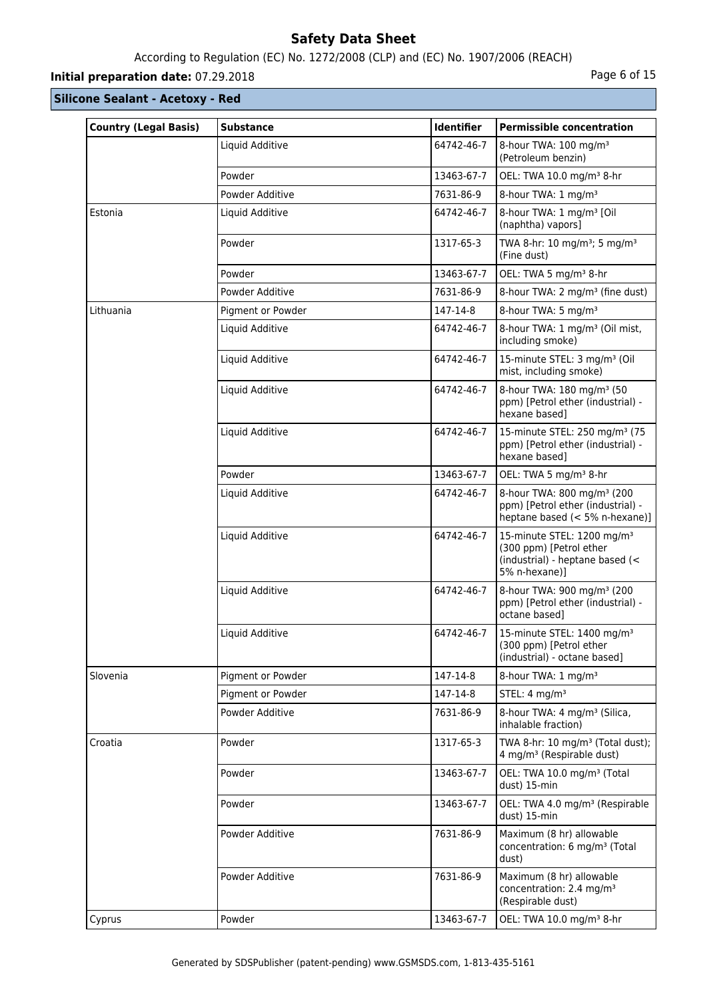# According to Regulation (EC) No. 1272/2008 (CLP) and (EC) No. 1907/2006 (REACH)

# **Initial preparation date:** 07.29.2018 **Page 6 of 15**

| <b>Country (Legal Basis)</b> | <b>Substance</b>  | <b>Identifier</b> | <b>Permissible concentration</b>                                                                                      |
|------------------------------|-------------------|-------------------|-----------------------------------------------------------------------------------------------------------------------|
|                              | Liquid Additive   | 64742-46-7        | 8-hour TWA: 100 mg/m <sup>3</sup><br>(Petroleum benzin)                                                               |
|                              | Powder            | 13463-67-7        | OEL: TWA 10.0 mg/m <sup>3</sup> 8-hr                                                                                  |
|                              | Powder Additive   | 7631-86-9         | 8-hour TWA: 1 mg/m <sup>3</sup>                                                                                       |
| Estonia                      | Liquid Additive   | 64742-46-7        | 8-hour TWA: 1 mg/m <sup>3</sup> [Oil<br>(naphtha) vapors]                                                             |
|                              | Powder            | 1317-65-3         | TWA 8-hr: 10 mg/m <sup>3</sup> ; 5 mg/m <sup>3</sup><br>(Fine dust)                                                   |
|                              | Powder            | 13463-67-7        | OEL: TWA 5 mg/m <sup>3</sup> 8-hr                                                                                     |
|                              | Powder Additive   | 7631-86-9         | 8-hour TWA: 2 mg/m <sup>3</sup> (fine dust)                                                                           |
| Lithuania                    | Pigment or Powder | 147-14-8          | 8-hour TWA: 5 mg/m <sup>3</sup>                                                                                       |
|                              | Liquid Additive   | 64742-46-7        | 8-hour TWA: 1 mg/m <sup>3</sup> (Oil mist,<br>including smoke)                                                        |
|                              | Liquid Additive   | 64742-46-7        | 15-minute STEL: 3 mg/m <sup>3</sup> (Oil<br>mist, including smoke)                                                    |
|                              | Liquid Additive   | 64742-46-7        | 8-hour TWA: 180 mg/m <sup>3</sup> (50<br>ppm) [Petrol ether (industrial) -<br>hexane based]                           |
|                              | Liquid Additive   | 64742-46-7        | 15-minute STEL: 250 mg/m <sup>3</sup> (75<br>ppm) [Petrol ether (industrial) -<br>hexane based]                       |
|                              | Powder            | 13463-67-7        | OEL: TWA 5 mg/m <sup>3</sup> 8-hr                                                                                     |
|                              | Liquid Additive   | 64742-46-7        | 8-hour TWA: 800 mg/m <sup>3</sup> (200<br>ppm) [Petrol ether (industrial) -<br>heptane based (< 5% n-hexane)]         |
|                              | Liquid Additive   | 64742-46-7        | 15-minute STEL: 1200 mg/m <sup>3</sup><br>(300 ppm) [Petrol ether<br>(industrial) - heptane based (<<br>5% n-hexane)] |
|                              | Liquid Additive   | 64742-46-7        | 8-hour TWA: 900 mg/m <sup>3</sup> (200<br>ppm) [Petrol ether (industrial) -<br>octane based]                          |
|                              | Liquid Additive   | 64742-46-7        | 15-minute STEL: 1400 mg/m <sup>3</sup><br>(300 ppm) [Petrol ether<br>(industrial) - octane based]                     |
| Slovenia                     | Pigment or Powder | 147-14-8          | 8-hour TWA: 1 mg/m <sup>3</sup>                                                                                       |
|                              | Pigment or Powder | 147-14-8          | STEL: $4 \text{ mg/m}^3$                                                                                              |
|                              | Powder Additive   | 7631-86-9         | 8-hour TWA: 4 mg/m <sup>3</sup> (Silica,<br>inhalable fraction)                                                       |
| Croatia                      | Powder            | 1317-65-3         | TWA 8-hr: 10 mg/m <sup>3</sup> (Total dust);<br>4 mg/m <sup>3</sup> (Respirable dust)                                 |
|                              | Powder            | 13463-67-7        | OEL: TWA 10.0 mg/m <sup>3</sup> (Total<br>dust) 15-min                                                                |
|                              | Powder            | 13463-67-7        | OEL: TWA 4.0 mg/m <sup>3</sup> (Respirable<br>dust) 15-min                                                            |
|                              | Powder Additive   | 7631-86-9         | Maximum (8 hr) allowable<br>concentration: 6 mg/m <sup>3</sup> (Total<br>dust)                                        |
|                              | Powder Additive   | 7631-86-9         | Maximum (8 hr) allowable<br>concentration: 2.4 mg/m <sup>3</sup><br>(Respirable dust)                                 |
| Cyprus                       | Powder            | 13463-67-7        | OEL: TWA 10.0 mg/m <sup>3</sup> 8-hr                                                                                  |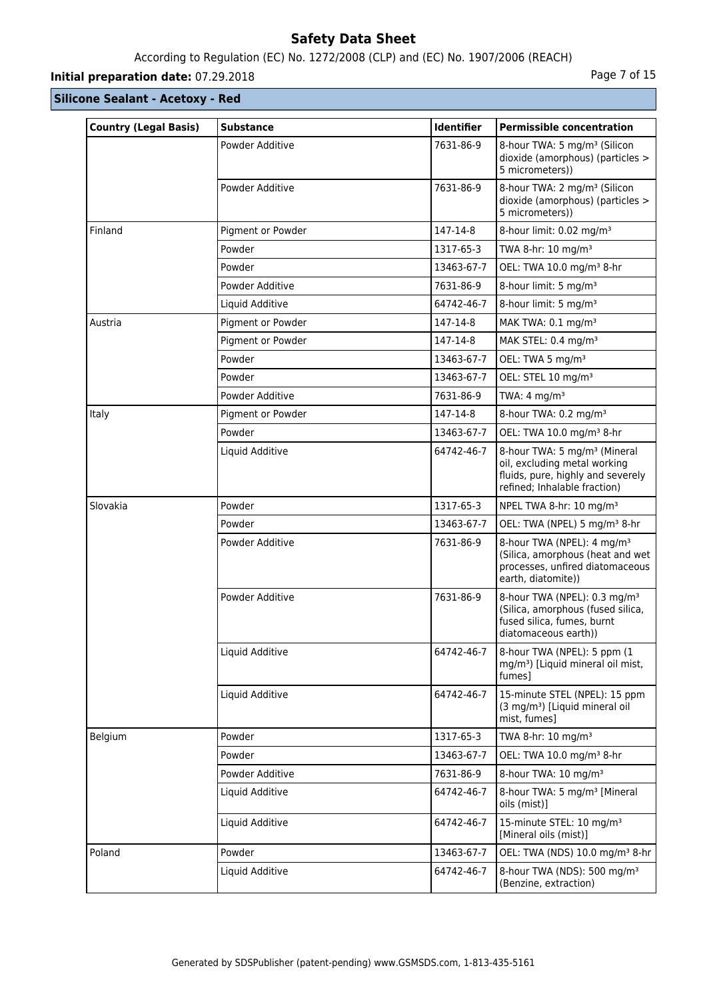# According to Regulation (EC) No. 1272/2008 (CLP) and (EC) No. 1907/2006 (REACH)

# **Initial preparation date:** 07.29.2018 **Page 7 of 15**

| <b>Country (Legal Basis)</b> | <b>Substance</b>  | Identifier | <b>Permissible concentration</b>                                                                                                              |
|------------------------------|-------------------|------------|-----------------------------------------------------------------------------------------------------------------------------------------------|
|                              | Powder Additive   | 7631-86-9  | 8-hour TWA: 5 mg/m <sup>3</sup> (Silicon<br>dioxide (amorphous) (particles ><br>5 micrometers))                                               |
|                              | Powder Additive   | 7631-86-9  | 8-hour TWA: 2 mg/m <sup>3</sup> (Silicon<br>dioxide (amorphous) (particles ><br>5 micrometers))                                               |
| Finland                      | Pigment or Powder | 147-14-8   | 8-hour limit: 0.02 mg/m <sup>3</sup>                                                                                                          |
|                              | Powder            | 1317-65-3  | TWA 8-hr: 10 mg/m <sup>3</sup>                                                                                                                |
|                              | Powder            | 13463-67-7 | OEL: TWA 10.0 mg/m <sup>3</sup> 8-hr                                                                                                          |
|                              | Powder Additive   | 7631-86-9  | 8-hour limit: 5 mg/m <sup>3</sup>                                                                                                             |
|                              | Liquid Additive   | 64742-46-7 | 8-hour limit: 5 mg/m <sup>3</sup>                                                                                                             |
| Austria                      | Pigment or Powder | 147-14-8   | MAK TWA: 0.1 mg/m <sup>3</sup>                                                                                                                |
|                              | Pigment or Powder | 147-14-8   | MAK STEL: 0.4 mg/m <sup>3</sup>                                                                                                               |
|                              | Powder            | 13463-67-7 | OEL: TWA 5 mg/m <sup>3</sup>                                                                                                                  |
|                              | Powder            | 13463-67-7 | OEL: STEL 10 mg/m <sup>3</sup>                                                                                                                |
|                              | Powder Additive   | 7631-86-9  | TWA: $4 \text{ mg/m}^3$                                                                                                                       |
| Italy                        | Pigment or Powder | 147-14-8   | 8-hour TWA: 0.2 mg/m <sup>3</sup>                                                                                                             |
|                              | Powder            | 13463-67-7 | OEL: TWA 10.0 mg/m <sup>3</sup> 8-hr                                                                                                          |
|                              | Liquid Additive   | 64742-46-7 | 8-hour TWA: 5 mg/m <sup>3</sup> (Mineral<br>oil, excluding metal working<br>fluids, pure, highly and severely<br>refined; Inhalable fraction) |
| Slovakia                     | Powder            | 1317-65-3  | NPEL TWA 8-hr: 10 mg/m <sup>3</sup>                                                                                                           |
|                              | Powder            | 13463-67-7 | OEL: TWA (NPEL) 5 mg/m <sup>3</sup> 8-hr                                                                                                      |
|                              | Powder Additive   | 7631-86-9  | 8-hour TWA (NPEL): 4 mg/m <sup>3</sup><br>(Silica, amorphous (heat and wet<br>processes, unfired diatomaceous<br>earth, diatomite))           |
|                              | Powder Additive   | 7631-86-9  | 8-hour TWA (NPEL): 0.3 mg/m <sup>3</sup><br>(Silica, amorphous (fused silica,<br>fused silica, fumes, burnt<br>diatomaceous earth))           |
|                              | Liquid Additive   | 64742-46-7 | 8-hour TWA (NPEL): 5 ppm (1<br>mg/m <sup>3</sup> ) [Liquid mineral oil mist,<br>fumes]                                                        |
|                              | Liquid Additive   | 64742-46-7 | 15-minute STEL (NPEL): 15 ppm<br>(3 mg/m <sup>3</sup> ) [Liquid mineral oil<br>mist, fumes]                                                   |
| Belgium                      | Powder            | 1317-65-3  | TWA 8-hr: 10 mg/m <sup>3</sup>                                                                                                                |
|                              | Powder            | 13463-67-7 | OEL: TWA 10.0 mg/m <sup>3</sup> 8-hr                                                                                                          |
|                              | Powder Additive   | 7631-86-9  | 8-hour TWA: 10 mg/m <sup>3</sup>                                                                                                              |
|                              | Liquid Additive   | 64742-46-7 | 8-hour TWA: 5 mg/m <sup>3</sup> [Mineral<br>oils (mist)]                                                                                      |
|                              | Liquid Additive   | 64742-46-7 | 15-minute STEL: 10 mg/m <sup>3</sup><br>[Mineral oils (mist)]                                                                                 |
| Poland                       | Powder            | 13463-67-7 | OEL: TWA (NDS) 10.0 mg/m <sup>3</sup> 8-hr                                                                                                    |
|                              | Liquid Additive   | 64742-46-7 | 8-hour TWA (NDS): 500 mg/m <sup>3</sup><br>(Benzine, extraction)                                                                              |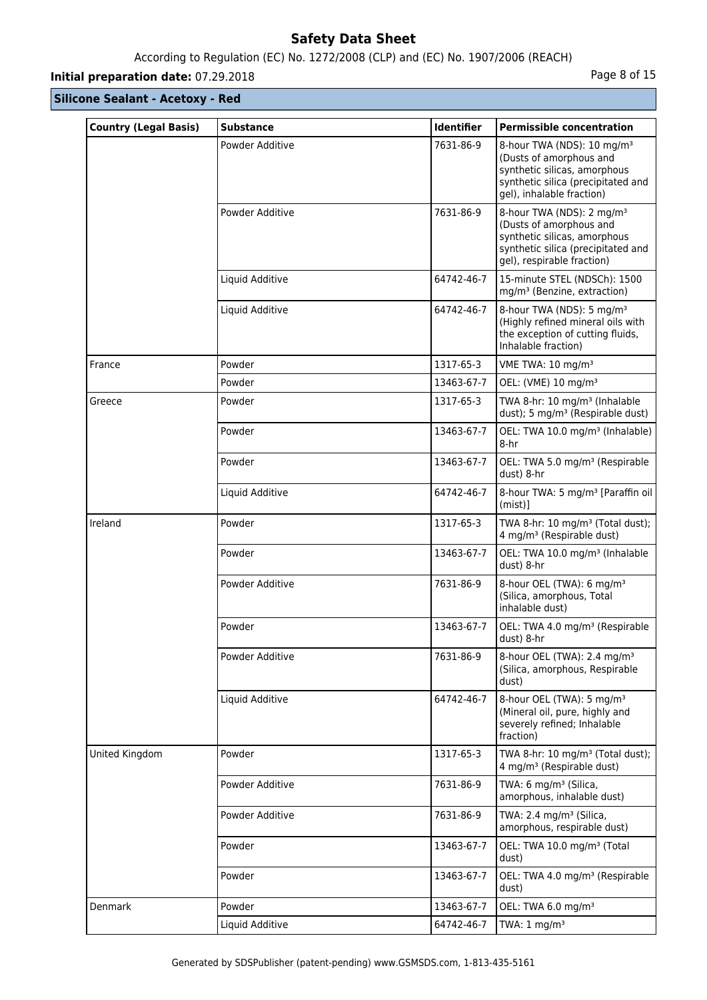# According to Regulation (EC) No. 1272/2008 (CLP) and (EC) No. 1907/2006 (REACH)

# **Initial preparation date:** 07.29.2018 **Page 8 of 15**

| <b>Country (Legal Basis)</b> | <b>Substance</b> | <b>Identifier</b> | <b>Permissible concentration</b>                                                                                                                                     |
|------------------------------|------------------|-------------------|----------------------------------------------------------------------------------------------------------------------------------------------------------------------|
|                              | Powder Additive  | 7631-86-9         | 8-hour TWA (NDS): 10 mg/m <sup>3</sup><br>(Dusts of amorphous and<br>synthetic silicas, amorphous<br>synthetic silica (precipitated and<br>gel), inhalable fraction) |
|                              | Powder Additive  | 7631-86-9         | 8-hour TWA (NDS): 2 mg/m <sup>3</sup><br>(Dusts of amorphous and<br>synthetic silicas, amorphous<br>synthetic silica (precipitated and<br>gel), respirable fraction) |
|                              | Liquid Additive  | 64742-46-7        | 15-minute STEL (NDSCh): 1500<br>mg/m <sup>3</sup> (Benzine, extraction)                                                                                              |
|                              | Liquid Additive  | 64742-46-7        | 8-hour TWA (NDS): 5 mg/m <sup>3</sup><br>(Highly refined mineral oils with<br>the exception of cutting fluids,<br>Inhalable fraction)                                |
| France                       | Powder           | 1317-65-3         | VME TWA: 10 mg/m <sup>3</sup>                                                                                                                                        |
|                              | Powder           | 13463-67-7        | OEL: (VME) 10 mg/m <sup>3</sup>                                                                                                                                      |
| Greece                       | Powder           | 1317-65-3         | TWA 8-hr: 10 mg/m <sup>3</sup> (Inhalable<br>dust); 5 mg/m <sup>3</sup> (Respirable dust)                                                                            |
|                              | Powder           | 13463-67-7        | OEL: TWA 10.0 mg/m <sup>3</sup> (Inhalable)<br>8-hr                                                                                                                  |
|                              | Powder           | 13463-67-7        | OEL: TWA 5.0 mg/m <sup>3</sup> (Respirable<br>dust) 8-hr                                                                                                             |
|                              | Liquid Additive  | 64742-46-7        | 8-hour TWA: 5 mg/m <sup>3</sup> [Paraffin oil]<br>$(mist)$ ]                                                                                                         |
| Ireland                      | Powder           | 1317-65-3         | TWA 8-hr: 10 mg/m <sup>3</sup> (Total dust);<br>4 mg/m <sup>3</sup> (Respirable dust)                                                                                |
|                              | Powder           | 13463-67-7        | OEL: TWA 10.0 mg/m <sup>3</sup> (Inhalable<br>dust) 8-hr                                                                                                             |
|                              | Powder Additive  | 7631-86-9         | 8-hour OEL (TWA): 6 mg/m <sup>3</sup><br>(Silica, amorphous, Total<br>inhalable dust)                                                                                |
|                              | Powder           | 13463-67-7        | OEL: TWA 4.0 mg/m <sup>3</sup> (Respirable<br>dust) 8-hr                                                                                                             |
|                              | Powder Additive  | 7631-86-9         | 8-hour OEL (TWA): 2.4 mg/m <sup>3</sup><br>(Silica, amorphous, Respirable<br>dust)                                                                                   |
|                              | Liquid Additive  | 64742-46-7        | 8-hour OEL (TWA): 5 mg/m <sup>3</sup><br>(Mineral oil, pure, highly and<br>severely refined; Inhalable<br>fraction)                                                  |
| United Kingdom               | Powder           | 1317-65-3         | TWA 8-hr: 10 mg/m <sup>3</sup> (Total dust);<br>4 mg/m <sup>3</sup> (Respirable dust)                                                                                |
|                              | Powder Additive  | 7631-86-9         | TWA: 6 mg/m <sup>3</sup> (Silica,<br>amorphous, inhalable dust)                                                                                                      |
|                              | Powder Additive  | 7631-86-9         | TWA: 2.4 mg/m <sup>3</sup> (Silica,<br>amorphous, respirable dust)                                                                                                   |
|                              | Powder           | 13463-67-7        | OEL: TWA 10.0 mg/m <sup>3</sup> (Total<br>dust)                                                                                                                      |
|                              | Powder           | 13463-67-7        | OEL: TWA 4.0 mg/m <sup>3</sup> (Respirable<br>dust)                                                                                                                  |
| Denmark                      | Powder           | 13463-67-7        | OEL: TWA 6.0 mg/m <sup>3</sup>                                                                                                                                       |
|                              | Liquid Additive  | 64742-46-7        | TWA: $1 \text{ mg/m}^3$                                                                                                                                              |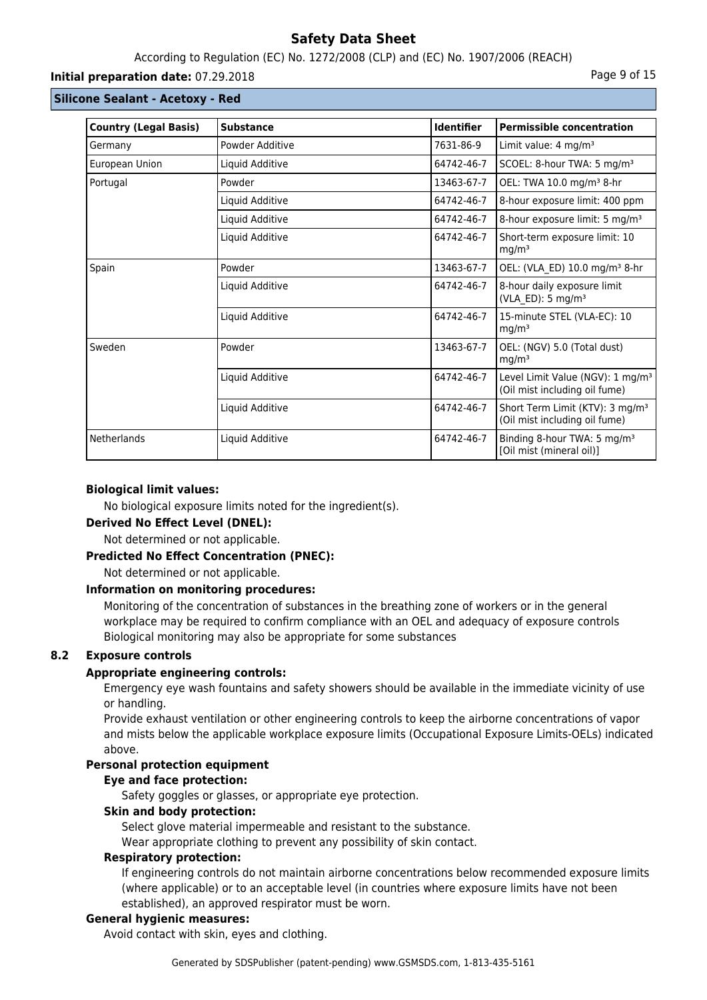## According to Regulation (EC) No. 1272/2008 (CLP) and (EC) No. 1907/2006 (REACH)

#### **Initial preparation date:** 07.29.2018 **Page 9 of 15**

#### **Silicone Sealant - Acetoxy - Red**

| <b>Country (Legal Basis)</b> | <b>Substance</b> | <b>Identifier</b> | <b>Permissible concentration</b>                                              |
|------------------------------|------------------|-------------------|-------------------------------------------------------------------------------|
| Germany                      | Powder Additive  | 7631-86-9         | Limit value: 4 mg/m <sup>3</sup>                                              |
| European Union               | Liquid Additive  | 64742-46-7        | SCOEL: 8-hour TWA: 5 mg/m <sup>3</sup>                                        |
| Portugal                     | Powder           | 13463-67-7        | OEL: TWA 10.0 mg/m <sup>3</sup> 8-hr                                          |
|                              | Liquid Additive  | 64742-46-7        | 8-hour exposure limit: 400 ppm                                                |
|                              | Liquid Additive  | 64742-46-7        | 8-hour exposure limit: 5 mg/m <sup>3</sup>                                    |
|                              | Liquid Additive  | 64742-46-7        | Short-term exposure limit: 10<br>mg/m <sup>3</sup>                            |
| Spain                        | Powder           | 13463-67-7        | OEL: (VLA ED) 10.0 mg/m <sup>3</sup> 8-hr                                     |
|                              | Liquid Additive  | 64742-46-7        | 8-hour daily exposure limit<br>(VLA_ED): 5 mg/m <sup>3</sup>                  |
|                              | Liquid Additive  | 64742-46-7        | 15-minute STEL (VLA-EC): 10<br>mg/m <sup>3</sup>                              |
| Sweden                       | Powder           | 13463-67-7        | OEL: (NGV) 5.0 (Total dust)<br>mg/m <sup>3</sup>                              |
|                              | Liquid Additive  | 64742-46-7        | Level Limit Value (NGV): 1 mg/m <sup>3</sup><br>(Oil mist including oil fume) |
|                              | Liquid Additive  | 64742-46-7        | Short Term Limit (KTV): 3 mg/m <sup>3</sup><br>(Oil mist including oil fume)  |
| Netherlands                  | Liquid Additive  | 64742-46-7        | Binding 8-hour TWA: 5 mg/m <sup>3</sup><br>[Oil mist (mineral oil)]           |

#### **Biological limit values:**

No biological exposure limits noted for the ingredient(s).

#### **Derived No Effect Level (DNEL):**

Not determined or not applicable.

#### **Predicted No Effect Concentration (PNEC):**

Not determined or not applicable.

#### **Information on monitoring procedures:**

Monitoring of the concentration of substances in the breathing zone of workers or in the general workplace may be required to confirm compliance with an OEL and adequacy of exposure controls Biological monitoring may also be appropriate for some substances

## **8.2 Exposure controls**

## **Appropriate engineering controls:**

Emergency eye wash fountains and safety showers should be available in the immediate vicinity of use or handling.

Provide exhaust ventilation or other engineering controls to keep the airborne concentrations of vapor and mists below the applicable workplace exposure limits (Occupational Exposure Limits-OELs) indicated above.

## **Personal protection equipment**

#### **Eye and face protection:**

Safety goggles or glasses, or appropriate eye protection.

## **Skin and body protection:**

Select glove material impermeable and resistant to the substance.

Wear appropriate clothing to prevent any possibility of skin contact.

#### **Respiratory protection:**

If engineering controls do not maintain airborne concentrations below recommended exposure limits (where applicable) or to an acceptable level (in countries where exposure limits have not been established), an approved respirator must be worn.

#### **General hygienic measures:**

Avoid contact with skin, eyes and clothing.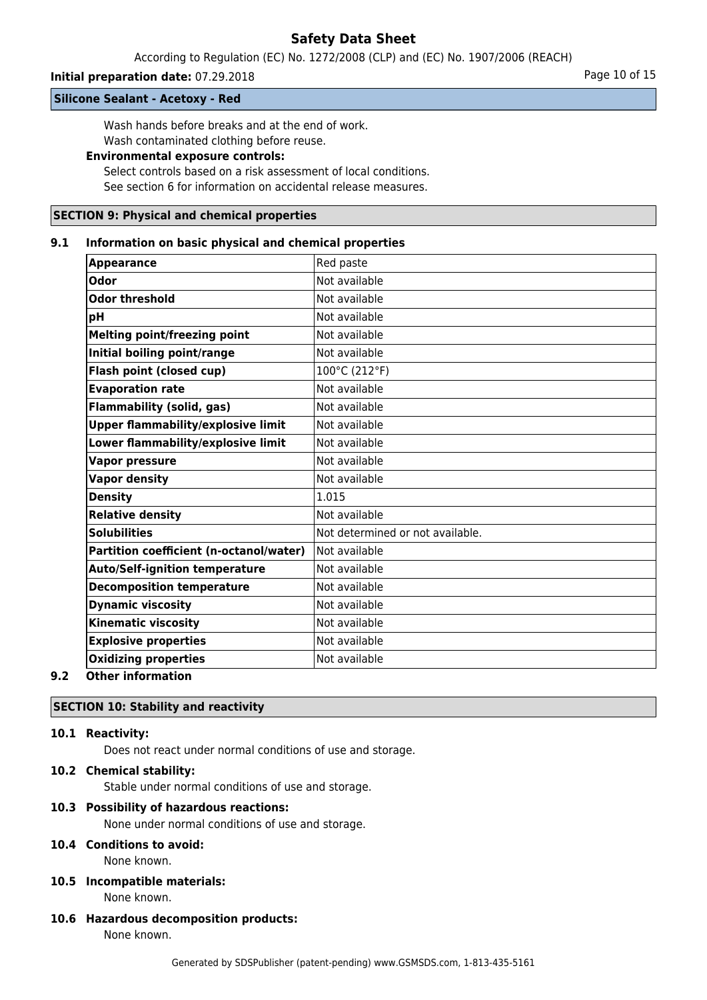According to Regulation (EC) No. 1272/2008 (CLP) and (EC) No. 1907/2006 (REACH)

### **Initial preparation date:** 07.29.2018 **Page 10 of 15** Page 10 of 15

**Silicone Sealant - Acetoxy - Red**

Wash hands before breaks and at the end of work.

Wash contaminated clothing before reuse.

# **Environmental exposure controls:**

Select controls based on a risk assessment of local conditions. See section 6 for information on accidental release measures.

#### **SECTION 9: Physical and chemical properties**

#### **9.1 Information on basic physical and chemical properties**

| Not available<br>Not available<br>Not available<br>Not available |
|------------------------------------------------------------------|
|                                                                  |
|                                                                  |
|                                                                  |
|                                                                  |
| Not available                                                    |
| 100°C (212°F)                                                    |
| Not available                                                    |
| Not available                                                    |
| Not available                                                    |
| Not available                                                    |
| Not available                                                    |
| Not available                                                    |
|                                                                  |
| Not available                                                    |
| Not determined or not available.                                 |
| lNot available                                                   |
| Not available                                                    |
| Not available                                                    |
| Not available                                                    |
| Not available                                                    |
| Not available                                                    |
| Not available                                                    |
|                                                                  |

#### **9.2 Other information**

## **SECTION 10: Stability and reactivity**

#### **10.1 Reactivity:**

Does not react under normal conditions of use and storage.

## **10.2 Chemical stability:**

Stable under normal conditions of use and storage.

#### **10.3 Possibility of hazardous reactions:**

None under normal conditions of use and storage.

## **10.4 Conditions to avoid:**

None known.

#### **10.5 Incompatible materials:** None known.

**10.6 Hazardous decomposition products:** None known.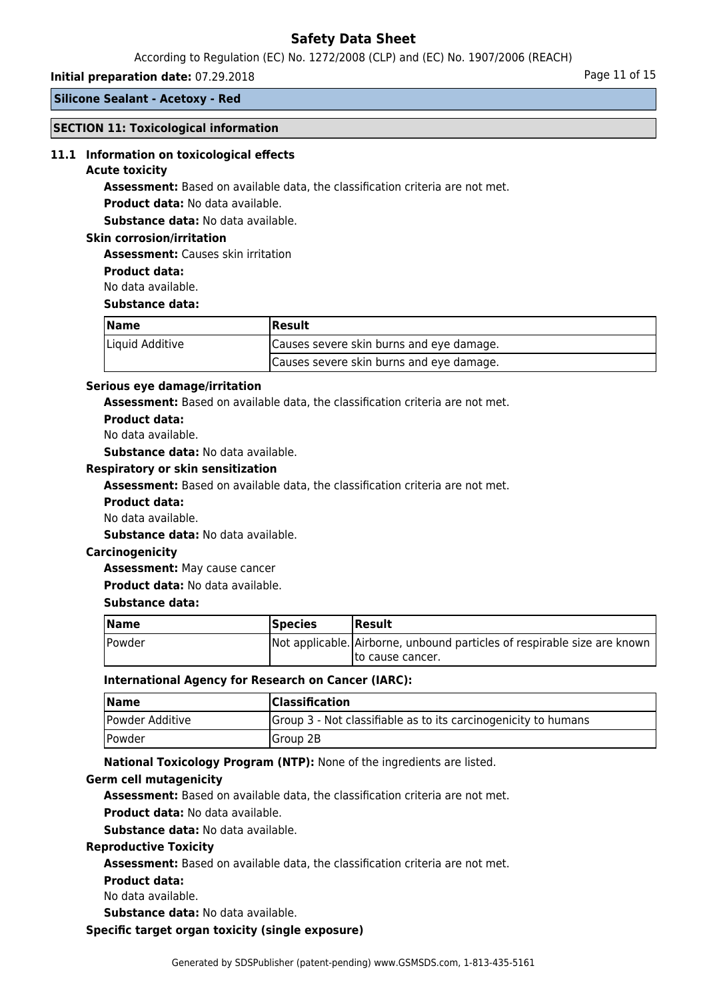According to Regulation (EC) No. 1272/2008 (CLP) and (EC) No. 1907/2006 (REACH)

#### **Initial preparation date:** 07.29.2018 **Page 11 of 15** and the page 11 of 15

**Silicone Sealant - Acetoxy - Red**

#### **SECTION 11: Toxicological information**

#### **11.1 Information on toxicological effects**

#### **Acute toxicity**

**Assessment:** Based on available data, the classification criteria are not met.

**Product data:** No data available.

**Substance data:** No data available.

#### **Skin corrosion/irritation**

**Assessment:** Causes skin irritation

**Product data:**

No data available.

#### **Substance data:**

| Name            | Result                                   |  |
|-----------------|------------------------------------------|--|
| Liquid Additive | Causes severe skin burns and eye damage. |  |
|                 | Causes severe skin burns and eye damage. |  |

#### **Serious eye damage/irritation**

**Assessment:** Based on available data, the classification criteria are not met.

**Product data:**

No data available.

**Substance data:** No data available.

#### **Respiratory or skin sensitization**

**Assessment:** Based on available data, the classification criteria are not met.

- **Product data:**
- No data available.

**Substance data:** No data available.

#### **Carcinogenicity**

**Assessment:** May cause cancer

**Product data:** No data available.

#### **Substance data:**

| <b>Name</b> | <b>Species</b> | <b> Result</b>                                                           |
|-------------|----------------|--------------------------------------------------------------------------|
| Powder      |                | Not applicable. Airborne, unbound particles of respirable size are known |
|             |                | Ito cause cancer.                                                        |

#### **International Agency for Research on Cancer (IARC):**

| <b>Name</b>                 | <b>Classification</b>                                          |
|-----------------------------|----------------------------------------------------------------|
| Powder Additive             | Group 3 - Not classifiable as to its carcinogenicity to humans |
| <i><u><b>Powder</b></u></i> | Group 2B                                                       |

**National Toxicology Program (NTP):** None of the ingredients are listed.

#### **Germ cell mutagenicity**

**Assessment:** Based on available data, the classification criteria are not met.

**Product data:** No data available.

**Substance data:** No data available.

#### **Reproductive Toxicity**

**Assessment:** Based on available data, the classification criteria are not met.

**Product data:**

No data available.

**Substance data:** No data available.

#### **Specific target organ toxicity (single exposure)**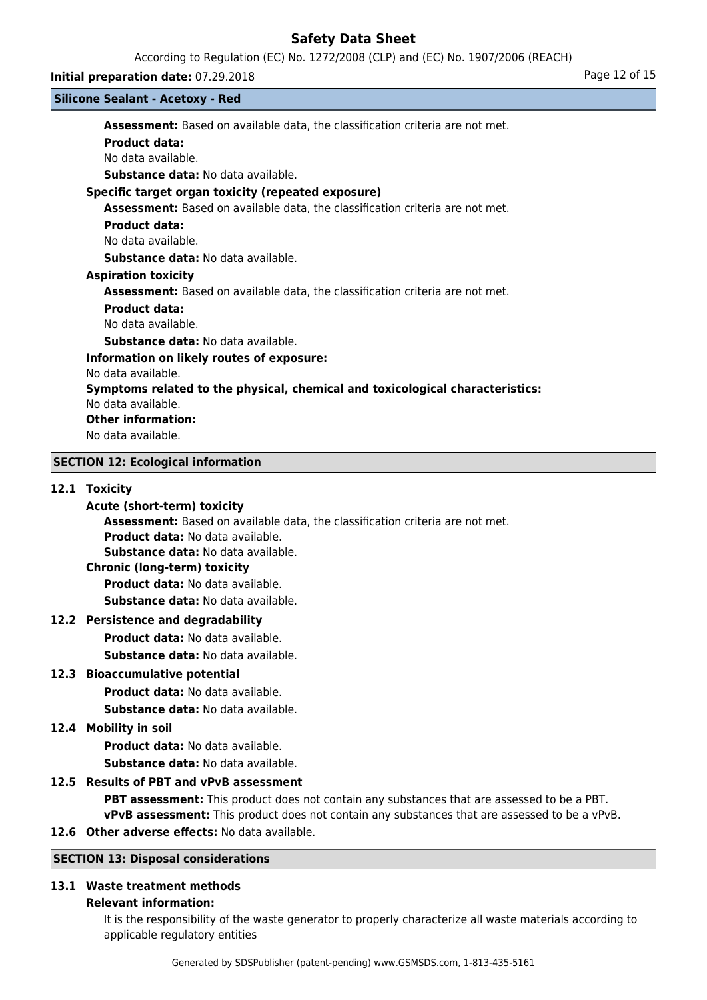According to Regulation (EC) No. 1272/2008 (CLP) and (EC) No. 1907/2006 (REACH)

#### **Silicone Sealant - Acetoxy - Red**

**Initial preparation date:** 07.29.2018 **Page 12 of 15 Assessment:** Based on available data, the classification criteria are not met. **Product data:** No data available. **Substance data:** No data available. **Specific target organ toxicity (repeated exposure) Assessment:** Based on available data, the classification criteria are not met. **Product data:** No data available. **Substance data:** No data available. **Aspiration toxicity Assessment:** Based on available data, the classification criteria are not met. **Product data:** No data available. **Substance data:** No data available. **Information on likely routes of exposure:** No data available. **Symptoms related to the physical, chemical and toxicological characteristics:** No data available. **Other information:** No data available. **SECTION 12: Ecological information**

#### **12.1 Toxicity**

## **Acute (short-term) toxicity**

**Assessment:** Based on available data, the classification criteria are not met.

**Product data:** No data available.

**Substance data:** No data available.

# **Chronic (long-term) toxicity**

**Product data:** No data available.

**Substance data:** No data available.

## **12.2 Persistence and degradability**

**Product data:** No data available.

**Substance data:** No data available.

# **12.3 Bioaccumulative potential**

**Product data:** No data available.

**Substance data:** No data available.

## **12.4 Mobility in soil**

**Product data:** No data available. **Substance data:** No data available.

## **12.5 Results of PBT and vPvB assessment**

**PBT assessment:** This product does not contain any substances that are assessed to be a PBT. **vPvB assessment:** This product does not contain any substances that are assessed to be a vPvB.

**12.6 Other adverse effects:** No data available.

# **SECTION 13: Disposal considerations**

# **13.1 Waste treatment methods**

# **Relevant information:**

It is the responsibility of the waste generator to properly characterize all waste materials according to applicable regulatory entities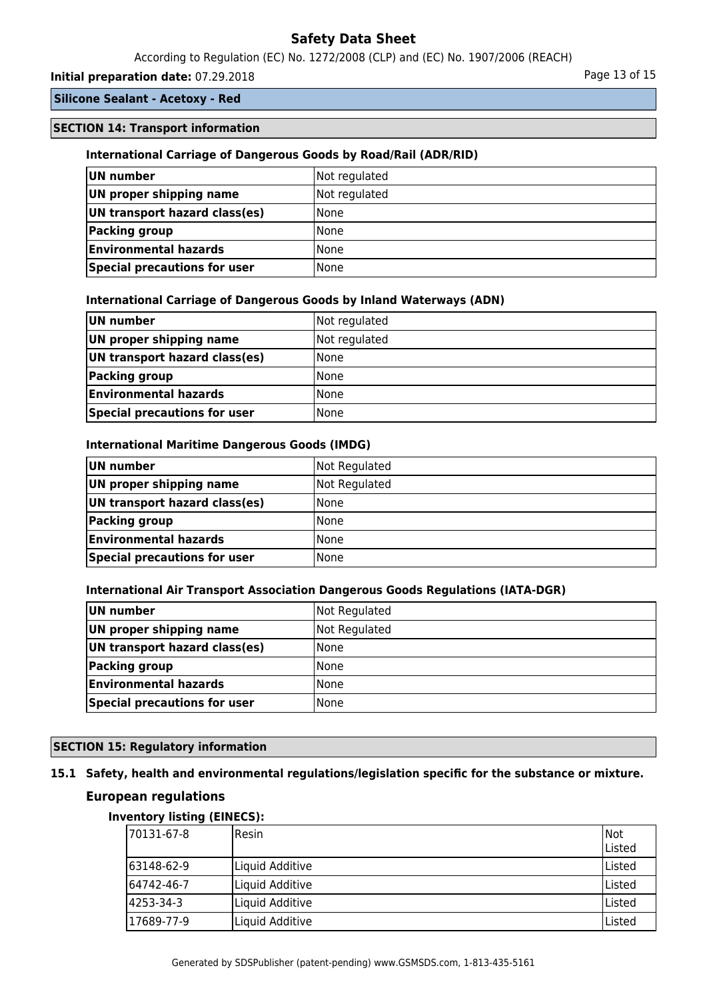According to Regulation (EC) No. 1272/2008 (CLP) and (EC) No. 1907/2006 (REACH)

# **Initial preparation date:** 07.29.2018 **Page 13 of 15** Page 13 of 15

## **Silicone Sealant - Acetoxy - Red**

#### **SECTION 14: Transport information**

#### **International Carriage of Dangerous Goods by Road/Rail (ADR/RID)**

| UN number                     | Not regulated |
|-------------------------------|---------------|
| UN proper shipping name       | Not regulated |
| UN transport hazard class(es) | l None        |
| Packing group                 | l None        |
| <b>Environmental hazards</b>  | l None        |
| Special precautions for user  | l None        |

#### **International Carriage of Dangerous Goods by Inland Waterways (ADN)**

| UN number                     | Not regulated |
|-------------------------------|---------------|
| UN proper shipping name       | Not regulated |
| UN transport hazard class(es) | <b>None</b>   |
| Packing group                 | <b>None</b>   |
| <b>Environmental hazards</b>  | <b>None</b>   |
| Special precautions for user  | l None        |

#### **International Maritime Dangerous Goods (IMDG)**

| UN number                     | Not Regulated |
|-------------------------------|---------------|
| UN proper shipping name       | Not Regulated |
| UN transport hazard class(es) | l None        |
| Packing group                 | None          |
| <b>Environmental hazards</b>  | None          |
| Special precautions for user  | l None        |

#### **International Air Transport Association Dangerous Goods Regulations (IATA-DGR)**

| UN number                     | Not Regulated |
|-------------------------------|---------------|
| UN proper shipping name       | Not Regulated |
| UN transport hazard class(es) | l None        |
| <b>Packing group</b>          | l None        |
| <b>Environmental hazards</b>  | l None        |
| Special precautions for user  | None          |

# **SECTION 15: Regulatory information**

# **15.1 Safety, health and environmental regulations/legislation specific for the substance or mixture.**

# **European regulations**

## **Inventory listing (EINECS):**

| 170131-67-8 | <b>IResin</b>   | Not<br>lListed |
|-------------|-----------------|----------------|
| 163148-62-9 | Liquid Additive | Listed         |
| 164742-46-7 | Liquid Additive | Listed         |
| 4253-34-3   | Liquid Additive | ا Listed       |
| 17689-77-9  | Liquid Additive | Listed         |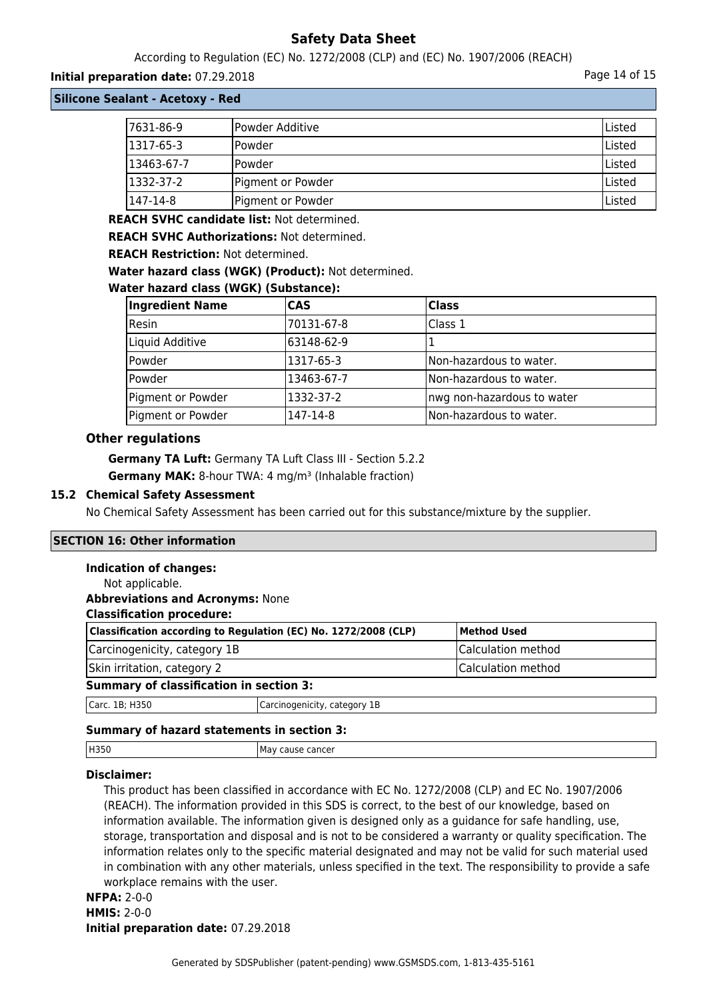According to Regulation (EC) No. 1272/2008 (CLP) and (EC) No. 1907/2006 (REACH)

## **Initial preparation date:** 07.29.2018 **Page 14 of 15**

**Silicone Sealant - Acetoxy - Red**

| 7631-86-9  | Powder Additive   | Listed |
|------------|-------------------|--------|
| 1317-65-3  | lPowder           | Listed |
| 13463-67-7 | lPowder           | Listed |
| 1332-37-2  | Pigment or Powder | Listed |
| 147-14-8   | Pigment or Powder | Listed |

**REACH SVHC candidate list:** Not determined.

**REACH SVHC Authorizations:** Not determined.

**REACH Restriction:** Not determined.

**Water hazard class (WGK) (Product):** Not determined.

#### **Water hazard class (WGK) (Substance):**

| <b>Ingredient Name</b> | <b>CAS</b> | <b>Class</b>                |
|------------------------|------------|-----------------------------|
| Resin                  | 70131-67-8 | Class 1                     |
| Liquid Additive        | 63148-62-9 |                             |
| Powder                 | 1317-65-3  | Non-hazardous to water.     |
| Powder                 | 13463-67-7 | Non-hazardous to water.     |
| Pigment or Powder      | 1332-37-2  | Inwg non-hazardous to water |
| Pigment or Powder      | 147-14-8   | Non-hazardous to water.     |

# **Other regulations**

**Germany TA Luft:** Germany TA Luft Class III - Section 5.2.2 **Germany MAK:** 8-hour TWA: 4 mg/m<sup>3</sup> (Inhalable fraction)

#### **15.2 Chemical Safety Assessment**

No Chemical Safety Assessment has been carried out for this substance/mixture by the supplier.

## **SECTION 16: Other information**

#### **Indication of changes:**

| Not applicable.                                |                                                                 |                    |
|------------------------------------------------|-----------------------------------------------------------------|--------------------|
| <b>Abbreviations and Acronyms: None</b>        |                                                                 |                    |
| <b>Classification procedure:</b>               |                                                                 |                    |
|                                                | Classification according to Regulation (EC) No. 1272/2008 (CLP) | <b>Method Used</b> |
| Carcinogenicity, category 1B                   |                                                                 | Calculation method |
| Skin irritation, category 2                    |                                                                 | Calculation method |
| <b>Summary of classification in section 3:</b> |                                                                 |                    |
| Carc. 1B; H350                                 | Carcinogenicity, category 1B                                    |                    |
|                                                |                                                                 |                    |

## **Summary of hazard statements in section 3:**

| H350 | ್ಲವಾರ Cancer<br>мa |
|------|--------------------|
|      |                    |

## **Disclaimer:**

This product has been classified in accordance with EC No. 1272/2008 (CLP) and EC No. 1907/2006 (REACH). The information provided in this SDS is correct, to the best of our knowledge, based on information available. The information given is designed only as a guidance for safe handling, use, storage, transportation and disposal and is not to be considered a warranty or quality specification. The information relates only to the specific material designated and may not be valid for such material used in combination with any other materials, unless specified in the text. The responsibility to provide a safe workplace remains with the user.

# **NFPA:** 2-0-0 **HMIS:** 2-0-0 **Initial preparation date:** 07.29.2018